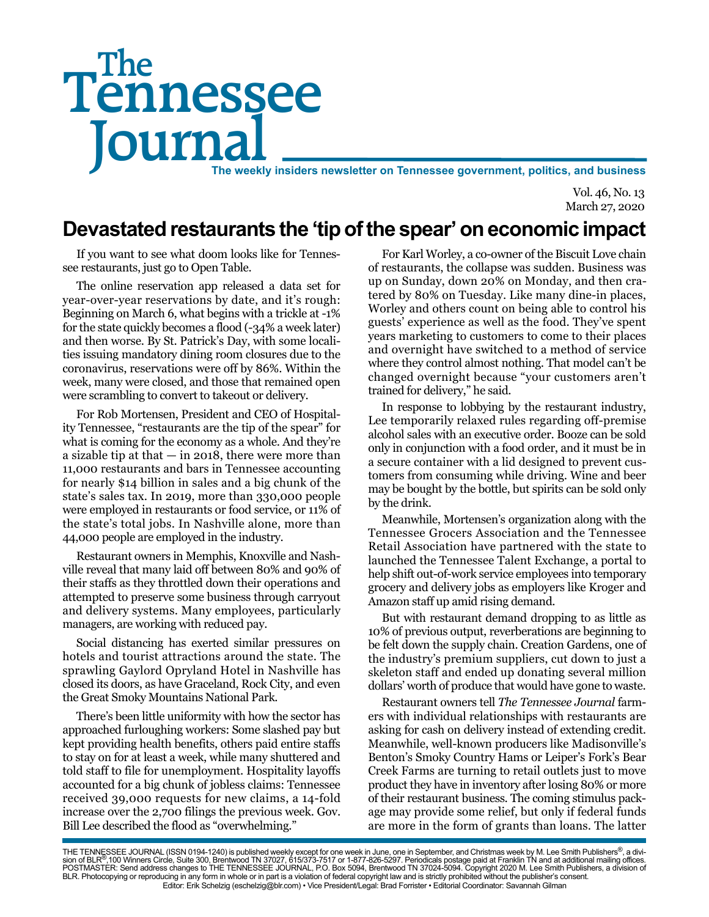# Tennessee **Journal** The weekly insiders newsletter on Tennessee government, politics, and business The

Vol. 46, No. 13 March 27, 2020

## **Devastated restaurants the 'tip of the spear' on economic impact**

If you want to see what doom looks like for Tennessee restaurants, just go to Open Table.

The online reservation app released a data set for year-over-year reservations by date, and it's rough: Beginning on March 6, what begins with a trickle at -1% for the state quickly becomes a flood (-34% a week later) and then worse. By St. Patrick's Day, with some localities issuing mandatory dining room closures due to the coronavirus, reservations were off by 86%. Within the week, many were closed, and those that remained open were scrambling to convert to takeout or delivery.

For Rob Mortensen, President and CEO of Hospitality Tennessee, "restaurants are the tip of the spear" for what is coming for the economy as a whole. And they're a sizable tip at that  $-$  in 2018, there were more than 11,000 restaurants and bars in Tennessee accounting for nearly \$14 billion in sales and a big chunk of the state's sales tax. In 2019, more than 330,000 people were employed in restaurants or food service, or 11% of the state's total jobs. In Nashville alone, more than 44,000 people are employed in the industry.

Restaurant owners in Memphis, Knoxville and Nashville reveal that many laid off between 80% and 90% of their staffs as they throttled down their operations and attempted to preserve some business through carryout and delivery systems. Many employees, particularly managers, are working with reduced pay.

Social distancing has exerted similar pressures on hotels and tourist attractions around the state. The sprawling Gaylord Opryland Hotel in Nashville has closed its doors, as have Graceland, Rock City, and even the Great Smoky Mountains National Park.

There's been little uniformity with how the sector has approached furloughing workers: Some slashed pay but kept providing health benefits, others paid entire staffs to stay on for at least a week, while many shuttered and told staff to file for unemployment. Hospitality layoffs accounted for a big chunk of jobless claims: Tennessee received 39,000 requests for new claims, a 14-fold increase over the 2,700 filings the previous week. Gov. Bill Lee described the flood as "overwhelming."

For Karl Worley, a co-owner of the Biscuit Love chain of restaurants, the collapse was sudden. Business was up on Sunday, down 20% on Monday, and then cratered by 80% on Tuesday. Like many dine-in places, Worley and others count on being able to control his guests' experience as well as the food. They've spent years marketing to customers to come to their places and overnight have switched to a method of service where they control almost nothing. That model can't be changed overnight because "your customers aren't trained for delivery," he said.

In response to lobbying by the restaurant industry, Lee temporarily relaxed rules regarding off-premise alcohol sales with an executive order. Booze can be sold only in conjunction with a food order, and it must be in a secure container with a lid designed to prevent customers from consuming while driving. Wine and beer may be bought by the bottle, but spirits can be sold only by the drink.

Meanwhile, Mortensen's organization along with the Tennessee Grocers Association and the Tennessee Retail Association have partnered with the state to launched the Tennessee Talent Exchange, a portal to help shift out-of-work service employees into temporary grocery and delivery jobs as employers like Kroger and Amazon staff up amid rising demand.

But with restaurant demand dropping to as little as 10% of previous output, reverberations are beginning to be felt down the supply chain. Creation Gardens, one of the industry's premium suppliers, cut down to just a skeleton staff and ended up donating several million dollars' worth of produce that would have gone to waste.

Restaurant owners tell *The Tennessee Journal* farmers with individual relationships with restaurants are asking for cash on delivery instead of extending credit. Meanwhile, well-known producers like Madisonville's Benton's Smoky Country Hams or Leiper's Fork's Bear Creek Farms are turning to retail outlets just to move product they have in inventory after losing 80% or more of their restaurant business. The coming stimulus package may provide some relief, but only if federal funds are more in the form of grants than loans. The latter

THE TENNESSEE JOURNAL (ISSN 0194-1240) is published weekly except for one week in June, one in September, and Christmas week by M. Lee Smith Publishers®, a divi-<br>sion of BLR®,100 Winners Circle, Suite 300, Brentwood TN 370 BLR. Photocopying or reproducing in any form in whole or in part is a violation of federal copyright law and is strictly prohibited without the publisher's consent. Editor: Erik Schelzig (eschelzig@blr.com) • Vice President/Legal: Brad Forrister • Editorial Coordinator: Savannah Gilman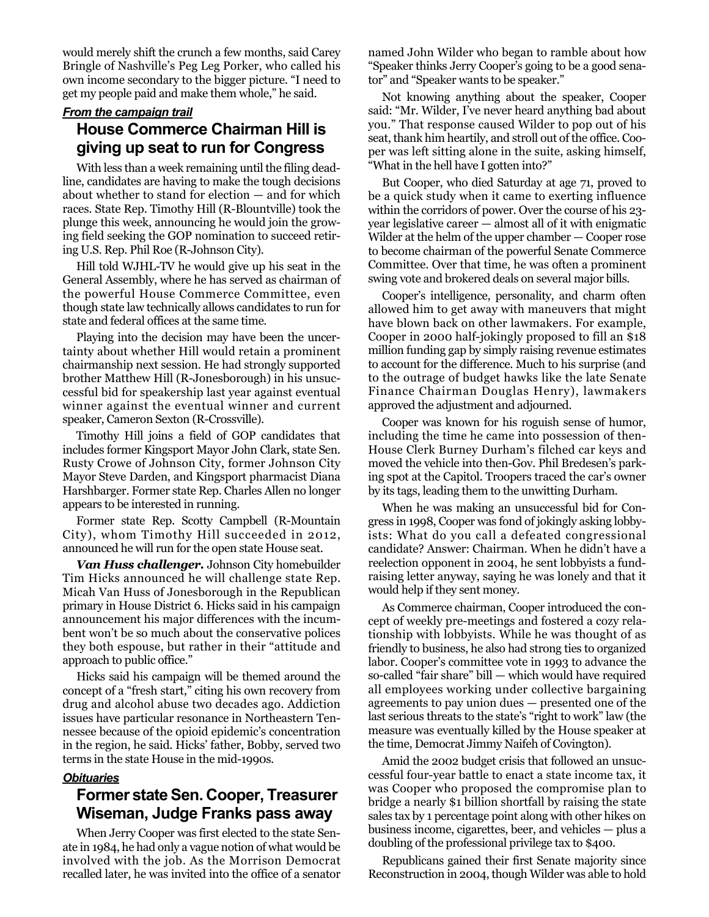would merely shift the crunch a few months, said Carey Bringle of Nashville's Peg Leg Porker, who called his own income secondary to the bigger picture. "I need to get my people paid and make them whole," he said.

### *From the campaign trail* **House Commerce Chairman Hill is giving up seat to run for Congress**

With less than a week remaining until the filing deadline, candidates are having to make the tough decisions about whether to stand for election — and for which races. State Rep. Timothy Hill (R-Blountville) took the plunge this week, announcing he would join the growing field seeking the GOP nomination to succeed retiring U.S. Rep. Phil Roe (R-Johnson City).

Hill told WJHL-TV he would give up his seat in the General Assembly, where he has served as chairman of the powerful House Commerce Committee, even though state law technically allows candidates to run for state and federal offices at the same time.

Playing into the decision may have been the uncertainty about whether Hill would retain a prominent chairmanship next session. He had strongly supported brother Matthew Hill (R-Jonesborough) in his unsuccessful bid for speakership last year against eventual winner against the eventual winner and current speaker, Cameron Sexton (R-Crossville).

Timothy Hill joins a field of GOP candidates that includes former Kingsport Mayor John Clark, state Sen. Rusty Crowe of Johnson City, former Johnson City Mayor Steve Darden, and Kingsport pharmacist Diana Harshbarger. Former state Rep. Charles Allen no longer appears to be interested in running.

Former state Rep. Scotty Campbell (R-Mountain City), whom Timothy Hill succeeded in 2012, announced he will run for the open state House seat.

*Van Huss challenger.* Johnson City homebuilder Tim Hicks announced he will challenge state Rep. Micah Van Huss of Jonesborough in the Republican primary in House District 6. Hicks said in his campaign announcement his major differences with the incumbent won't be so much about the conservative polices they both espouse, but rather in their "attitude and approach to public office."

Hicks said his campaign will be themed around the concept of a "fresh start," citing his own recovery from drug and alcohol abuse two decades ago. Addiction issues have particular resonance in Northeastern Tennessee because of the opioid epidemic's concentration in the region, he said. Hicks' father, Bobby, served two terms in the state House in the mid-1990s.

#### *Obituaries*

## **Former state Sen. Cooper, Treasurer Wiseman, Judge Franks pass away**

When Jerry Cooper was first elected to the state Senate in 1984, he had only a vague notion of what would be involved with the job. As the Morrison Democrat recalled later, he was invited into the office of a senator

named John Wilder who began to ramble about how "Speaker thinks Jerry Cooper's going to be a good senator" and "Speaker wants to be speaker."

Not knowing anything about the speaker, Cooper said: "Mr. Wilder, I've never heard anything bad about you." That response caused Wilder to pop out of his seat, thank him heartily, and stroll out of the office. Cooper was left sitting alone in the suite, asking himself, "What in the hell have I gotten into?"

But Cooper, who died Saturday at age 71, proved to be a quick study when it came to exerting influence within the corridors of power. Over the course of his 23 year legislative career — almost all of it with enigmatic Wilder at the helm of the upper chamber — Cooper rose to become chairman of the powerful Senate Commerce Committee. Over that time, he was often a prominent swing vote and brokered deals on several major bills.

Cooper's intelligence, personality, and charm often allowed him to get away with maneuvers that might have blown back on other lawmakers. For example, Cooper in 2000 half-jokingly proposed to fill an \$18 million funding gap by simply raising revenue estimates to account for the difference. Much to his surprise (and to the outrage of budget hawks like the late Senate Finance Chairman Douglas Henry), lawmakers approved the adjustment and adjourned.

Cooper was known for his roguish sense of humor, including the time he came into possession of then-House Clerk Burney Durham's filched car keys and moved the vehicle into then-Gov. Phil Bredesen's parking spot at the Capitol. Troopers traced the car's owner by its tags, leading them to the unwitting Durham.

When he was making an unsuccessful bid for Congress in 1998, Cooper was fond of jokingly asking lobbyists: What do you call a defeated congressional candidate? Answer: Chairman. When he didn't have a reelection opponent in 2004, he sent lobbyists a fundraising letter anyway, saying he was lonely and that it would help if they sent money.

As Commerce chairman, Cooper introduced the concept of weekly pre-meetings and fostered a cozy relationship with lobbyists. While he was thought of as friendly to business, he also had strong ties to organized labor. Cooper's committee vote in 1993 to advance the so-called "fair share" bill — which would have required all employees working under collective bargaining agreements to pay union dues — presented one of the last serious threats to the state's "right to work" law (the measure was eventually killed by the House speaker at the time, Democrat Jimmy Naifeh of Covington).

Amid the 2002 budget crisis that followed an unsuccessful four-year battle to enact a state income tax, it was Cooper who proposed the compromise plan to bridge a nearly \$1 billion shortfall by raising the state sales tax by 1 percentage point along with other hikes on business income, cigarettes, beer, and vehicles — plus a doubling of the professional privilege tax to \$400.

Republicans gained their first Senate majority since Reconstruction in 2004, though Wilder was able to hold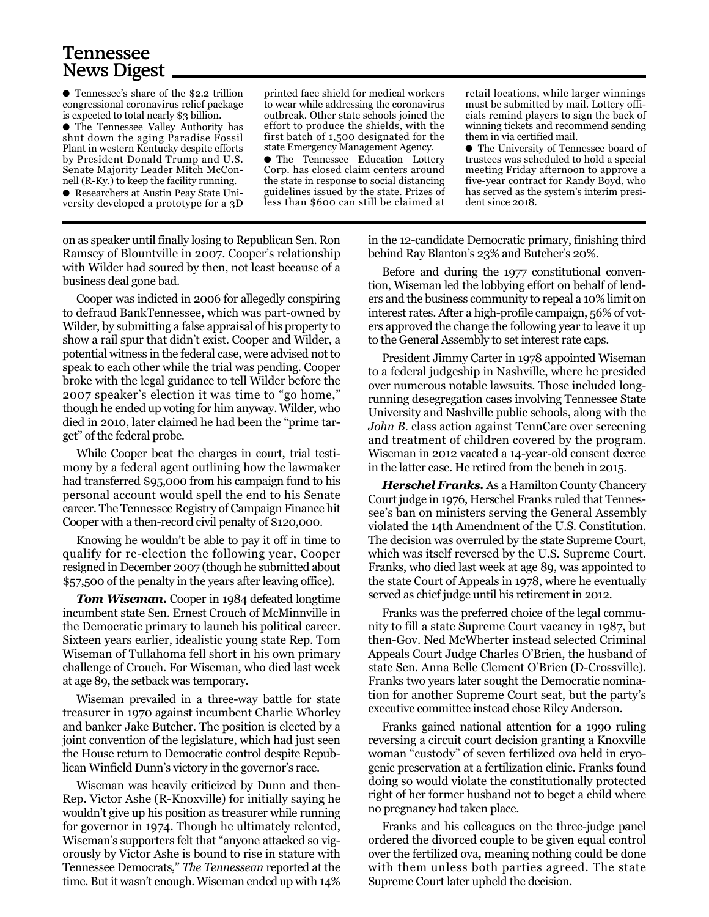## Tennessee News Digest

● Tennessee's share of the \$2.2 trillion congressional coronavirus relief package is expected to total nearly \$3 billion.

● The Tennessee Valley Authority has shut down the aging Paradise Fossil Plant in western Kentucky despite efforts by President Donald Trump and U.S. Senate Majority Leader Mitch McConnell (R-Ky.) to keep the facility running. ● Researchers at Austin Peay State Uni-

versity developed a prototype for a 3D

printed face shield for medical workers to wear while addressing the coronavirus outbreak. Other state schools joined the effort to produce the shields, with the first batch of 1,500 designated for the state Emergency Management Agency.

● The Tennessee Education Lottery Corp. has closed claim centers around the state in response to social distancing guidelines issued by the state. Prizes of less than \$600 can still be claimed at

retail locations, while larger winnings must be submitted by mail. Lottery officials remind players to sign the back of winning tickets and recommend sending them in via certified mail.

● The University of Tennessee board of trustees was scheduled to hold a special meeting Friday afternoon to approve a five-year contract for Randy Boyd, who has served as the system's interim president since 2018.

on as speaker until finally losing to Republican Sen. Ron Ramsey of Blountville in 2007. Cooper's relationship with Wilder had soured by then, not least because of a business deal gone bad.

Cooper was indicted in 2006 for allegedly conspiring to defraud BankTennessee, which was part-owned by Wilder, by submitting a false appraisal of his property to show a rail spur that didn't exist. Cooper and Wilder, a potential witness in the federal case, were advised not to speak to each other while the trial was pending. Cooper broke with the legal guidance to tell Wilder before the 2007 speaker's election it was time to "go home," though he ended up voting for him anyway. Wilder, who died in 2010, later claimed he had been the "prime target" of the federal probe.

While Cooper beat the charges in court, trial testimony by a federal agent outlining how the lawmaker had transferred \$95,000 from his campaign fund to his personal account would spell the end to his Senate career. The Tennessee Registry of Campaign Finance hit Cooper with a then-record civil penalty of \$120,000.

Knowing he wouldn't be able to pay it off in time to qualify for re-election the following year, Cooper resigned in December 2007 (though he submitted about \$57,500 of the penalty in the years after leaving office).

*Tom Wiseman.* Cooper in 1984 defeated longtime incumbent state Sen. Ernest Crouch of McMinnville in the Democratic primary to launch his political career. Sixteen years earlier, idealistic young state Rep. Tom Wiseman of Tullahoma fell short in his own primary challenge of Crouch. For Wiseman, who died last week at age 89, the setback was temporary.

Wiseman prevailed in a three-way battle for state treasurer in 1970 against incumbent Charlie Whorley and banker Jake Butcher. The position is elected by a joint convention of the legislature, which had just seen the House return to Democratic control despite Republican Winfield Dunn's victory in the governor's race.

Wiseman was heavily criticized by Dunn and then-Rep. Victor Ashe (R-Knoxville) for initially saying he wouldn't give up his position as treasurer while running for governor in 1974. Though he ultimately relented, Wiseman's supporters felt that "anyone attacked so vigorously by Victor Ashe is bound to rise in stature with Tennessee Democrats," *The Tennessean* reported at the time. But it wasn't enough. Wiseman ended up with 14%

in the 12-candidate Democratic primary, finishing third behind Ray Blanton's 23% and Butcher's 20%.

Before and during the 1977 constitutional convention, Wiseman led the lobbying effort on behalf of lenders and the business community to repeal a 10% limit on interest rates. After a high-profile campaign, 56% of voters approved the change the following year to leave it up to the General Assembly to set interest rate caps.

President Jimmy Carter in 1978 appointed Wiseman to a federal judgeship in Nashville, where he presided over numerous notable lawsuits. Those included longrunning desegregation cases involving Tennessee State University and Nashville public schools, along with the *John B.* class action against TennCare over screening and treatment of children covered by the program. Wiseman in 2012 vacated a 14-year-old consent decree in the latter case. He retired from the bench in 2015.

*Herschel Franks.* As a Hamilton County Chancery Court judge in 1976, Herschel Franks ruled that Tennessee's ban on ministers serving the General Assembly violated the 14th Amendment of the U.S. Constitution. The decision was overruled by the state Supreme Court, which was itself reversed by the U.S. Supreme Court. Franks, who died last week at age 89, was appointed to the state Court of Appeals in 1978, where he eventually served as chief judge until his retirement in 2012.

Franks was the preferred choice of the legal community to fill a state Supreme Court vacancy in 1987, but then-Gov. Ned McWherter instead selected Criminal Appeals Court Judge Charles O'Brien, the husband of state Sen. Anna Belle Clement O'Brien (D-Crossville). Franks two years later sought the Democratic nomination for another Supreme Court seat, but the party's executive committee instead chose Riley Anderson.

Franks gained national attention for a 1990 ruling reversing a circuit court decision granting a Knoxville woman "custody" of seven fertilized ova held in cryogenic preservation at a fertilization clinic. Franks found doing so would violate the constitutionally protected right of her former husband not to beget a child where no pregnancy had taken place.

Franks and his colleagues on the three-judge panel ordered the divorced couple to be given equal control over the fertilized ova, meaning nothing could be done with them unless both parties agreed. The state Supreme Court later upheld the decision.